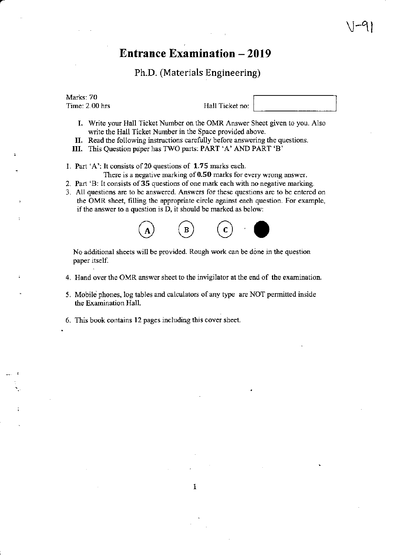## Entrance Examination - <sup>2019</sup>

Ph.D. (Materials Engineering)

Marks: 70 Time: 2.00 hrs

Hall Ticket no:

 $\bigvee$ -41

- I. Write your Hall Ticket Number on the OMR Answer Sheet given to you. Also write the Hall Ticket Number in the Space provided above.
- II. Read the following instructions carefully beforc answering the questions.
- III. This Question paper has TWO parts: PART 'A' AND PART 'B'

1. Part 'A': It consists of 20 questions of 1.75 marks each.

There is a negative marking of  $0.50$  marks for every wrong answer.

- 2. Part 'B: It consists of35 questions of one mark each with no negative marking.
- 3. All questions are to be answered. Answers for these questions are to be entered on the OMR sheet, filling the appropriate circle against each question. For example, if the answer to a question is D, it should be marked as below:



No additional sheets will be provided. Rough work can be done in the question paper itself.

- 4. Hand over the OMR answer sheet to the invigilator at the end of the examination.
- 5. Mobile phones, log tables and calculators of any type are NOT permitted inside the Examination Hall.
- 6. This book contains 12 pages including this cover sheet.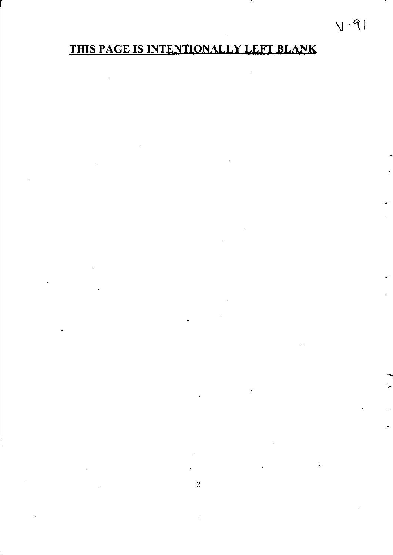# THIS PAGE IS INTENTIONALLY LEFT BLANK

 $V - 91$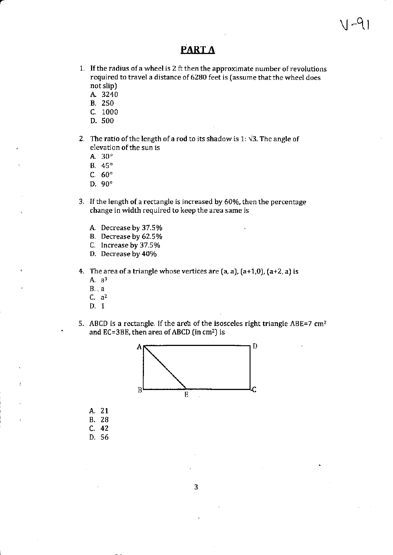### **PART A**

- 1. If the radius of a wheel is 2 ft then the approximate number of revolutions required to travel a distance of 6280 feet is (assume that the wheel does not slip)
	- A. 3240
	- **B.** 250
	- C. 1000
	- D. 500
- 2. The ratio of the length of a rod to its shadow is 1:  $\sqrt{3}$ . The angle of elevation of the sun is
	- A.  $30^\circ$
	- B.  $45^\circ$
	- C.  $60^\circ$
	- D.  $90^\circ$
- 3. If the length of a rectangle is increased by 60%, then the percentage change in width required to keep the area same is
	- A. Decrease by 37.5%
	- B. Decrease by 62.5%
	- C. Increase by 37.5%
	- D. Decrease by 40%
- 4. The area of a triangle whose vertices are  $(a, a)$ ,  $(a+1, 0)$ ,  $(a+2, a)$  is
	- A.  $a^3$
	- $B_{\cdot}$ , a
	- $C. a<sup>2</sup>$
	- D. 1
- 5. ABCD is a rectangle. If the area of the isosceles right triangle ABE=7 cm<sup>2</sup> and EC=3BE, then area of ABCD (in cm<sup>2</sup>) is



- A. 21 **B.** 28
- $C. 42$
- D. 56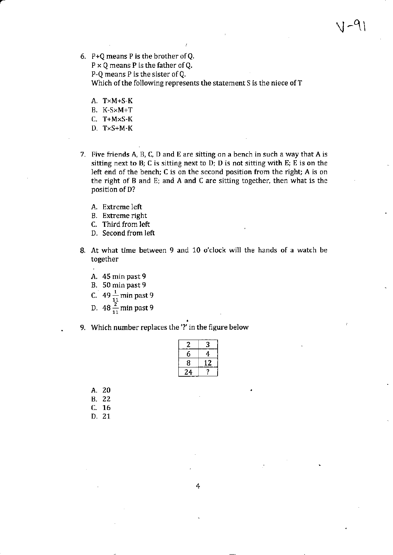P+Q means P is the brother ofQ.

 $P \times Q$  means P is the father of Q.

P-Q means P is the sister ofQ.

Which of the following represents the statement S is the niece of T

- A. TXM+S-K
- B. K-SXM+T
- C. T+MXS-K
- D.  $T \times S + M K$
- 7. Five friends A, B, C, D and E are sitting on a bench in such a way that A is sitting next to  $B$ ;  $C$  is sitting next to  $D$ ;  $D$  is not sitting with  $E$ ;  $E$  is on the left end of the bench; C is on the second position from the right; A is on the right of B and E; and A and C are sitting together, then what is the position of D?
	- A. Extreme left
	- B. Extreme right
	- c. Third from left
	- D. Second from left
- 8. At what time between 9 and 10 o'clock will the hands of a watch be together
	- A. 45 min past 9
	- B. 50 min past 9
	- C. 49 $\frac{1}{11}$  min past 9
	- D. 48 $\frac{2}{11}$  min past 9
- 9. which number replaces the '?' in the figure below

| Z  | 3  |
|----|----|
| 6  | 4  |
| 8  | 12 |
| 24 |    |

- A, 20 B. 22 c. 76
- D, 21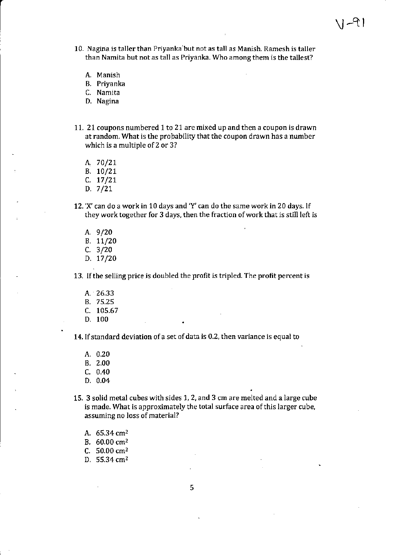- 10. Nagina is taller than Priyanka but not as tall as Manish. Ramesh is taller than Namita but not as tall as Priyanka. Who among them is the tallest?
	- A, Manish
	- B. Priyanka
	- C. Namita
	- D. Nagina
- 11. 21 coupons numbered 1 to 21 are mixed up and then a coupon is drawn at random. What is the probability that the coupon drawn has a number which is a multiple of 2 or 3?
	- A.70/21
	- B. 10/21
	- $C. 17/21$
	- $D. 7/21$
- 12. 'X' can do a work in 10 days and 'Y' can do the same work in 20 days. lf they work together for 3 days, then the fraction of work that is still left is
	- A.9/20 B. 11/20 c.3/20 D.  $17/20$

13. lfthe selling price is doubled the profit is tripled. The profit percent is

- A. 26.33
- B. 75.25
- c. t05.67
- D. 100

14. If standard deviation of a set of data is 0.2, then variance is equal to

- A. 0.20
- B.2.00
- c.0.40
- D.0.04
- 15. 3 solid metal cubes with sides 1, 2, and 3 cm are melted and a large cube is made. What is approximately the total surface area of this larger cube, assuming no Ioss of material?
	- A. 65.34 cm'z
	- B. 60.00 cm<sup>2</sup>
	- C.  $50.00 \text{ cm}^2$
	- D. 55.34 cm<sup>2</sup>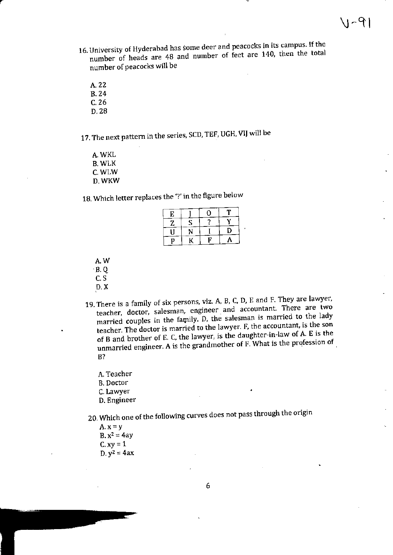- 16. University of Hyderabad has some deer and peacocks in its campus. If the number of heads are 48 and number of feet are 140, then the total number of peacocks will be
	- A. 22
	- **B.24**
	- $C.26$
	- D. 28
- 17. The next pattern in the series, SCD, TEF, UGH, VIJ will be
	- A. WKL **B. WLK** C. WLW D. WKW

18. Which letter replaces the '?' in the figure below

| E |   |    |   |
|---|---|----|---|
| z | S |    |   |
|   |   |    | П |
| D |   | F. |   |

- A.W
- $\cdot$  B. Q.
- $C.S$
- $D. X$
- 19. There is a family of six persons, viz. A, B, C, D, E and F. They are lawyer, teacher, doctor, salesman, engineer and accountant. There are two married couples in the family. D, the salesman is married to the lady teacher. The doctor is married to the lawyer. F, the accountant, is the son of B and brother of E. C, the lawyer, is the daughter-in-law of A. E is the unmarried engineer. A is the grandmother of F. What is the profession of  $B$ ?
	- A. Teacher
	- **B.** Doctor
	- C. Lawyer
	- D. Engineer
- 20. Which one of the following curves does not pass through the origin

 $A. x = y$  $B. x^2 = 4ay$  $C. xy = 1$  $D. y^2 = 4ax$ 

6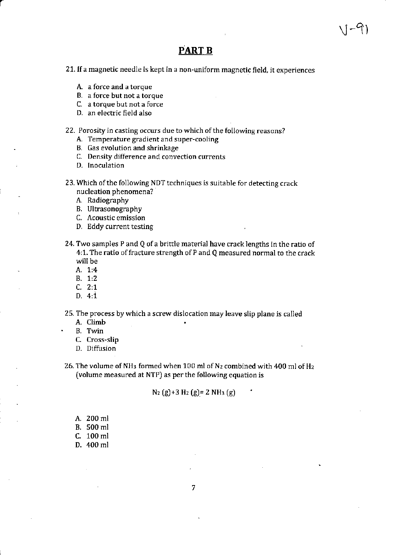### PART B

 $V-\mathcal{G}$ 

21. If a magnetic needle is kept in a non-uniform magnetic field, it experiences

- A. a force and a torque
- B. a force but not a torque
- C. a torque but not a force
- D. an electric field also
- 22. Porosity in casting occurs due to which of the following reasons?
	- A. Temperature gradient and super-cooling
	- B, Gas evolution and shrinkage
	- C. Density difference and convection currents
	- D. Inoculation
- 23. Which of the following NDT techniques is suitable for detecting crack nucleation phenomena?
	- A. Radiography
	- B. Ultrasonography
	- C. Acoustic emission
	- D. Eddy current testing
- 24. Two samples P and Q of a brittle material have crack lengths in the ratio of 4:1. The ratio of fracture strength of P and Q measured normal to the crack will be
	- A, 1:4
	- B. 1:2
	- c. 2:7
	- D.  $4:1$
- 25. The process by which a screw dislocation may leave slip plane is called A. climb
	- B. Twin
	- C. Cross-slip
	- D. Diffusion

26. The volume of NH<sub>3</sub> formed when 100 ml of N<sub>2</sub> combined with 400 ml of H<sub>2</sub> (volume measured at NTP) as perthe following equation is

#### $N_2$  (g)+3 H<sub>2</sub> (g)= 2 NH<sub>3</sub> (g)

- A. 200 ml B.500ml C. 100 ml
- D. 400 ml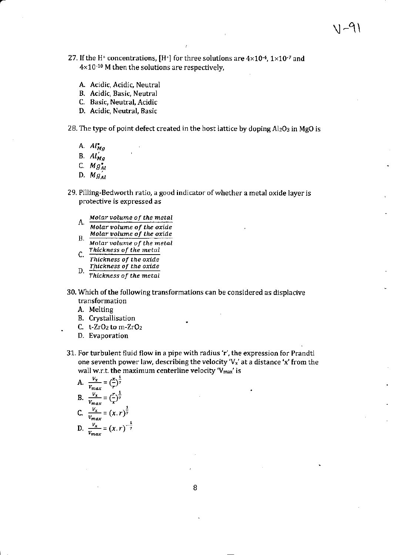- 27. If the H<sup>+</sup> concentrations, [H<sup>+</sup>] for three solutions are  $4 \times 10^{-4}$ ,  $1 \times 10^{-7}$  and 4×10<sup>-10</sup> M then the solutions are respectively,
	- A. Acidic, Acidic, Neutral
	- B. Acidic, Basic, Neutral
	- C. Basic, Neutral, Acidic
	- D. Acidic, Neutral, Basic

28. The type of point defect created in the host lattice by doping Al2O3 in MgO is

- A.  $Al_{Mg}^{\bullet}$
- B.  $Al'_{Ma}$
- C.  $Mg_{Al}^{\bullet}$
- D.  $Mg'_{AI}$
- 29. Pilling-Bedworth ratio, a good indicator of whether a metal oxide layer is protective is expressed as
	- Molar volume of the metal
	- А. Molar volume of the oxide Molar volume of the oxide В.
	- Molar volume of the metal Thickness of the metal
	- C. Thickness of the oxide Thickness of the oxide D.
	- Thickness of the metal
- 30. Which of the following transformations can be considered as displacive transformation
	- A. Melting
	- **B.** Crystallisation
	- C.  $t$ -ZrO<sub>2</sub> to m-ZrO<sub>2</sub>
	- D. Evaporation
- 31. For turbulent fluid flow in a pipe with radius 'r', the expression for Prandtl one seventh power law, describing the velocity 'V<sub>x</sub>' at a distance 'x' from the wall w.r.t. the maximum centerline velocity 'V<sub>max</sub>' is

A. 
$$
\frac{v_x}{v_{max}} = \left(\frac{x}{r}\right)^{\frac{1}{7}}
$$
  
\nB. 
$$
\frac{v_x}{v_{max}} = \left(\frac{r}{x}\right)^{\frac{1}{7}}
$$
  
\nC. 
$$
\frac{v_x}{v_{max}} = (x \cdot r)^{\frac{1}{7}}
$$
  
\nD. 
$$
\frac{v_x}{v_{max}} = (x \cdot r)^{-\frac{1}{7}}
$$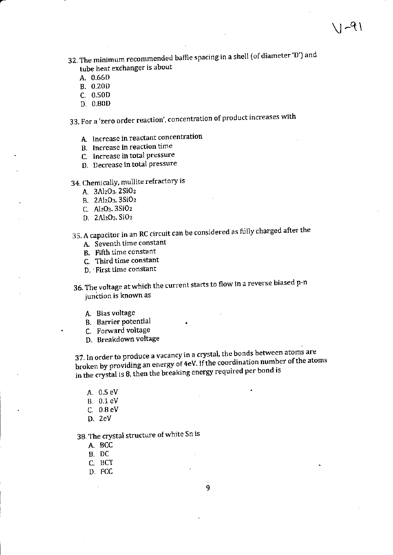32. The minimum recommended baffle spacing in a shell (of diameter 'D') and tube heat exchanger is about

- A. 0.66D
- **B.** 0.20D
- C. 0.50D
- D. 0.80D

33. For a 'zero order reaction', concentration of product increases with

- A. Increase in reactant concentration
- B. Increase in reaction time
- C. Increase in total pressure
- D. Decrease in total pressure

34. Chemically, mullite refractory is

- A. 3Al2O3.2SiO2
- B. 2Al2O3. 3SiO2
- C. Al<sub>2</sub>O<sub>3</sub>, 3SiO<sub>2</sub>
- D. 2Al<sub>2</sub>O<sub>3</sub>. SiO<sub>2</sub>
- 35. A capacitor in an RC circuit can be considered as fully charged after the
	- A. Seventh time constant
	- B. Fifth time constant
	- C. Third time constant
	- D. First time constant

36. The voltage at which the current starts to flow in a reverse biased p-n junction is known as

- A. Bias voltage
- B. Barrier potential
- C. Forward voltage
- D. Breakdown voltage

37. In order to produce a vacancy in a crystal, the bonds between atoms are broken by providing an energy of 4eV. If the coordination number of the atoms in the crystal is 8, then the breaking energy required per bond is

- A. 0.5 eV
- B. 0.1 eV
- C.  $0.8$  eV
- $D. 2eV$

38. The crystal structure of white Sn is

- A. BCC
- B. DC
- C. BCT
- D. FCC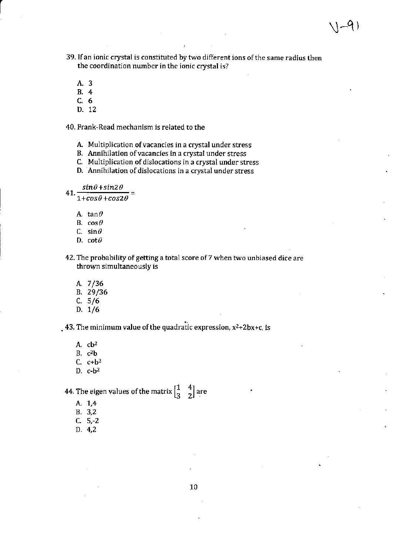$\sim$ 9)

- A.3
- 8.4
- c.6
- D. 12

40. Frank-Read mechanism is related to the

- A. Multiplication of vacancies in a crystal under stress
- B. Annihilation of vacancies in a crystal under stress
- C. Multiplication of dislocations in a crystal under stress
- D. Annihilation of dislocations in a crystal under stress

 $sin\theta + sin2\theta$  $41. \frac{2000 + 2000 - 2}{1 + cos \theta + cos2\theta} =$ 

- A. tan $\theta$
- B.  $cos\theta$
- C. sin $\theta$
- D.  $cot\theta$
- 42. The probability of getting a total score of 7 when two unbiased dice are thrown simultaneously is
	- A. 7 /36
	- B.29/36
	- c. s/6
	- D. 1/6

. 43. The minimum value of the quadratic expression,  $x^2+2bx+c$ , is

A.  $cb^2$ B. c2b C.  $c+b^2$ D. c-b2

 $[1 \ 4]$ 44. The eigen values of the matrix  $\begin{bmatrix} 1 & 4 \\ 3 & 2 \end{bmatrix}$  are

- A. 1,4
- B. 3,2
- c. s,-2
- D.4,2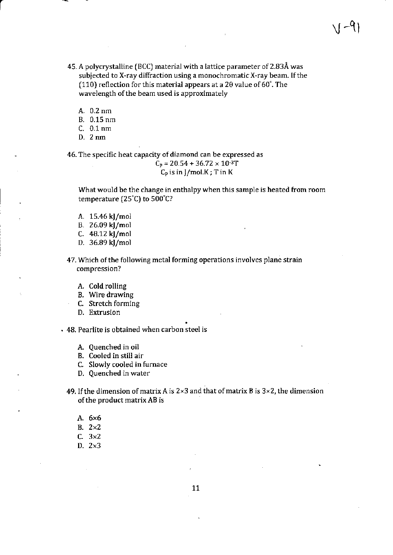45. A polycrystalline (BCC) material with a lattice parameter of 2.83Å was subjected to X-ray diffraction using a monochromatic X-ray beam. If the (110) reflection for this material appears at a 20 value of  $60^\circ$ . The wavelength of the beam used is approximately

 $V^{-q}$ 

- A.0.2nm
- B.0.15nm
- C. 0.1nm
- D. 2nm

46. The specific heat capacity of diamond can be expressed as  $C_p = 20.54 + 36.72 \times 10^{-3}T$  $\mathsf{C}_{\mathsf{p}}$  is in J/mol.K ; T in K

What would be the change in enthalpy when this sample is heated from room temperature (25'C) to 500'C?

- A. 15.46 kJ/mol
- B. 26.09 kl/mol
- C.  $48.12 \text{ kJ/mol}$
- D. 36.89 kJ/mol

47. Which of the following metal forming operations involves plane strain compression?

- A. cold rolling
- B. Wire drawing
- C. Stretch forming
- D. Extrusion

. 48. Peariite is obtained when carbon steel is

- A. Quenched in oil
- B. Cooled in still air
- c. Slowly cooled in furnace
- D. Quenched in water

49. If the dimension of matrix A is  $2\times3$  and that of matrix B is  $3\times2$ , the dimension of the product matrix AB is

- A,6x6
- B.  $2\times2$
- C. 3x2
- D.2x3

11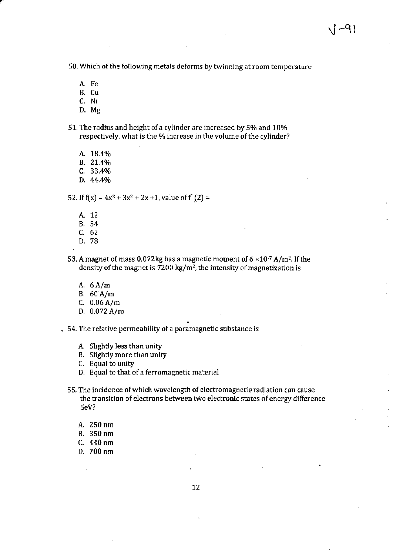50. Which of the following metals deforms by twinning at room temperature

- A. Fe
- B. Cu
- c. Ni
- D. Mg
- 51. The radius and height of a cylinder are increased by 5% and 10% respectively, what is the % increase in the volume of the cylinder?
	- A. 18.4%
	- B. 21.4%
	- C. 33.4%
	- D.44.4Vo

52. If  $f(x) = 4x^3 + 3x^2 + 2x + 1$ , value of  $f'(2) =$ 

- A. <sup>12</sup>
- B. 54
- c. <sup>62</sup>
- D.78
- 53. A magnet of mass 0.072kg has a magnetic moment of  $6 \times 10^{-7}$  A/m<sup>2</sup>. If the density of the magnet is  $7200 \text{ kg/m}^2$ , the intensity of magnetization is
	- A. 6 A/m
	- B.60A/m
	- C.  $0.06 A/m$
	- D. 0.072 A/m
- . 54. The relative permeability of a paramagnetic substance is
	- A. Slightly less than unity
	- B. Slightly more than unity
	- C. Equal to unity
	- D. Equal to that of a ferromagnetic material
	- 55. The incidence of which wavelength of electromagnetio radiation can cause the transition of electrons between two electronic states of energy difference 5eV?
		- A.250nm
		- B.350nm
		- C. 440 nm
		- D. 700 nm